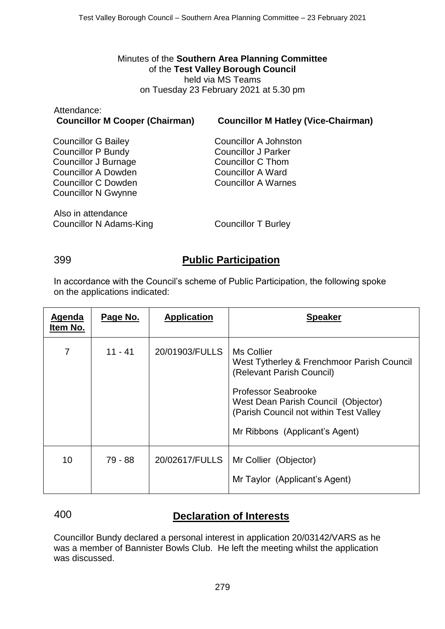Minutes of the **Southern Area Planning Committee** of the **Test Valley Borough Council** held via MS Teams on Tuesday 23 February 2021 at 5.30 pm

| Allendance.<br><b>Councillor M Cooper (Chairman)</b> | <b>Councillor M Hatley (Vice-Chairman)</b>             |
|------------------------------------------------------|--------------------------------------------------------|
| <b>Councillor G Bailey</b>                           | Councillor A Johnston                                  |
| <b>Councillor P Bundy</b><br>Councillor J Burnage    | <b>Councillor J Parker</b><br>Councillor C Thom        |
| <b>Councillor A Dowden</b><br>Councillor C Dowden    | <b>Councillor A Ward</b><br><b>Councillor A Warnes</b> |
| <b>Councillor N Gwynne</b>                           |                                                        |
| Also in attendance                                   |                                                        |
| <b>Councillor N Adams-King</b>                       | <b>Councillor T Burley</b>                             |

Attendance:

## 399 **Public Participation**

In accordance with the Council's scheme of Public Participation, the following spoke on the applications indicated:

| Agenda<br>Item No. | Page No.  | <b>Application</b> | <b>Speaker</b>                                                                                                                                                                                                                  |
|--------------------|-----------|--------------------|---------------------------------------------------------------------------------------------------------------------------------------------------------------------------------------------------------------------------------|
| 7                  | $11 - 41$ | 20/01903/FULLS     | Ms Collier<br>West Tytherley & Frenchmoor Parish Council<br>(Relevant Parish Council)<br>Professor Seabrooke<br>West Dean Parish Council (Objector)<br>(Parish Council not within Test Valley<br>Mr Ribbons (Applicant's Agent) |
| 10                 | 79 - 88   | 20/02617/FULLS     | Mr Collier (Objector)<br>Mr Taylor (Applicant's Agent)                                                                                                                                                                          |

# 400 **Declaration of Interests**

Councillor Bundy declared a personal interest in application 20/03142/VARS as he was a member of Bannister Bowls Club. He left the meeting whilst the application was discussed.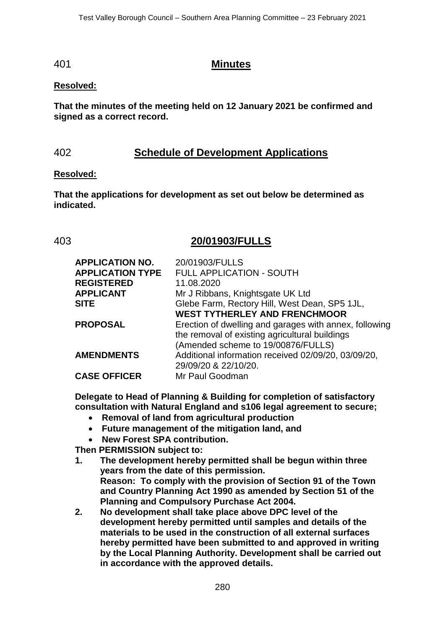### 401 **Minutes**

### **Resolved:**

**That the minutes of the meeting held on 12 January 2021 be confirmed and signed as a correct record.**

# 402 **Schedule of Development Applications**

### **Resolved:**

**That the applications for development as set out below be determined as indicated.**

## 403 **20/01903/FULLS**

| <b>APPLICATION NO.</b>  | 20/01903/FULLS                                                                                                                                 |
|-------------------------|------------------------------------------------------------------------------------------------------------------------------------------------|
| <b>APPLICATION TYPE</b> | FULL APPLICATION - SOUTH                                                                                                                       |
| <b>REGISTERED</b>       | 11.08.2020                                                                                                                                     |
| <b>APPLICANT</b>        | Mr J Ribbans, Knightsgate UK Ltd                                                                                                               |
| <b>SITE</b>             | Glebe Farm, Rectory Hill, West Dean, SP5 1JL,                                                                                                  |
|                         | <b>WEST TYTHERLEY AND FRENCHMOOR</b>                                                                                                           |
| <b>PROPOSAL</b>         | Erection of dwelling and garages with annex, following<br>the removal of existing agricultural buildings<br>(Amended scheme to 19/00876/FULLS) |
| <b>AMENDMENTS</b>       | Additional information received 02/09/20, 03/09/20,<br>29/09/20 & 22/10/20.                                                                    |
| <b>CASE OFFICER</b>     | Mr Paul Goodman                                                                                                                                |
|                         |                                                                                                                                                |

**Delegate to Head of Planning & Building for completion of satisfactory consultation with Natural England and s106 legal agreement to secure;**

- **Removal of land from agricultural production**
- **Future management of the mitigation land, and**
- **New Forest SPA contribution.**

**Then PERMISSION subject to:** 

- **1. The development hereby permitted shall be begun within three years from the date of this permission. Reason: To comply with the provision of Section 91 of the Town and Country Planning Act 1990 as amended by Section 51 of the Planning and Compulsory Purchase Act 2004.**
- **2. No development shall take place above DPC level of the development hereby permitted until samples and details of the materials to be used in the construction of all external surfaces hereby permitted have been submitted to and approved in writing by the Local Planning Authority. Development shall be carried out in accordance with the approved details.**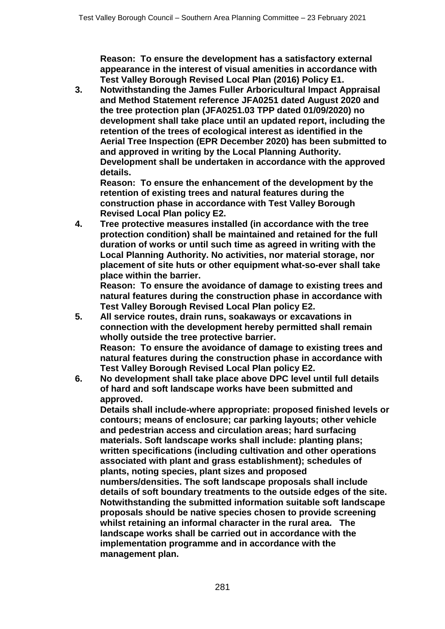**Reason: To ensure the development has a satisfactory external appearance in the interest of visual amenities in accordance with Test Valley Borough Revised Local Plan (2016) Policy E1.**

**3. Notwithstanding the James Fuller Arboricultural Impact Appraisal and Method Statement reference JFA0251 dated August 2020 and the tree protection plan (JFA0251.03 TPP dated 01/09/2020) no development shall take place until an updated report, including the retention of the trees of ecological interest as identified in the Aerial Tree Inspection (EPR December 2020) has been submitted to and approved in writing by the Local Planning Authority. Development shall be undertaken in accordance with the approved details.** 

**Reason: To ensure the enhancement of the development by the retention of existing trees and natural features during the construction phase in accordance with Test Valley Borough Revised Local Plan policy E2.**

**4. Tree protective measures installed (in accordance with the tree protection condition) shall be maintained and retained for the full duration of works or until such time as agreed in writing with the Local Planning Authority. No activities, nor material storage, nor placement of site huts or other equipment what-so-ever shall take place within the barrier.**

**Reason: To ensure the avoidance of damage to existing trees and natural features during the construction phase in accordance with Test Valley Borough Revised Local Plan policy E2.**

- **5. All service routes, drain runs, soakaways or excavations in connection with the development hereby permitted shall remain wholly outside the tree protective barrier. Reason: To ensure the avoidance of damage to existing trees and natural features during the construction phase in accordance with Test Valley Borough Revised Local Plan policy E2.**
- **6. No development shall take place above DPC level until full details of hard and soft landscape works have been submitted and approved.**

**Details shall include-where appropriate: proposed finished levels or contours; means of enclosure; car parking layouts; other vehicle and pedestrian access and circulation areas; hard surfacing materials. Soft landscape works shall include: planting plans; written specifications (including cultivation and other operations associated with plant and grass establishment); schedules of plants, noting species, plant sizes and proposed numbers/densities. The soft landscape proposals shall include details of soft boundary treatments to the outside edges of the site. Notwithstanding the submitted information suitable soft landscape proposals should be native species chosen to provide screening whilst retaining an informal character in the rural area. The landscape works shall be carried out in accordance with the implementation programme and in accordance with the management plan.**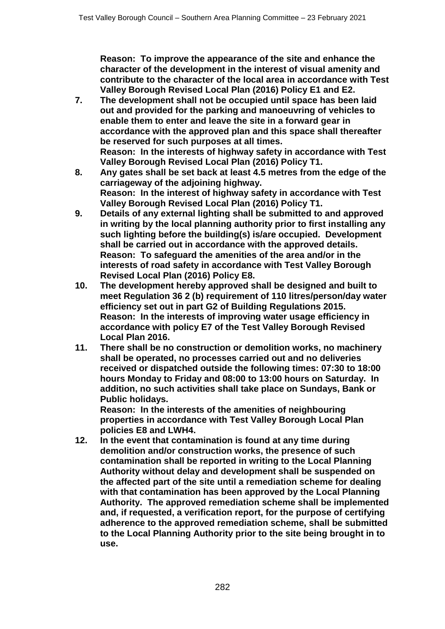**Reason: To improve the appearance of the site and enhance the character of the development in the interest of visual amenity and contribute to the character of the local area in accordance with Test Valley Borough Revised Local Plan (2016) Policy E1 and E2.**

- **7. The development shall not be occupied until space has been laid out and provided for the parking and manoeuvring of vehicles to enable them to enter and leave the site in a forward gear in accordance with the approved plan and this space shall thereafter be reserved for such purposes at all times. Reason: In the interests of highway safety in accordance with Test Valley Borough Revised Local Plan (2016) Policy T1.**
- **8. Any gates shall be set back at least 4.5 metres from the edge of the carriageway of the adjoining highway. Reason: In the interest of highway safety in accordance with Test Valley Borough Revised Local Plan (2016) Policy T1.**
- **9. Details of any external lighting shall be submitted to and approved in writing by the local planning authority prior to first installing any such lighting before the building(s) is/are occupied. Development shall be carried out in accordance with the approved details. Reason: To safeguard the amenities of the area and/or in the interests of road safety in accordance with Test Valley Borough Revised Local Plan (2016) Policy E8.**
- **10. The development hereby approved shall be designed and built to meet Regulation 36 2 (b) requirement of 110 litres/person/day water efficiency set out in part G2 of Building Regulations 2015. Reason: In the interests of improving water usage efficiency in accordance with policy E7 of the Test Valley Borough Revised Local Plan 2016.**
- **11. There shall be no construction or demolition works, no machinery shall be operated, no processes carried out and no deliveries received or dispatched outside the following times: 07:30 to 18:00 hours Monday to Friday and 08:00 to 13:00 hours on Saturday. In addition, no such activities shall take place on Sundays, Bank or Public holidays.**

**Reason: In the interests of the amenities of neighbouring properties in accordance with Test Valley Borough Local Plan policies E8 and LWH4.**

**12. In the event that contamination is found at any time during demolition and/or construction works, the presence of such contamination shall be reported in writing to the Local Planning Authority without delay and development shall be suspended on the affected part of the site until a remediation scheme for dealing with that contamination has been approved by the Local Planning Authority. The approved remediation scheme shall be implemented and, if requested, a verification report, for the purpose of certifying adherence to the approved remediation scheme, shall be submitted to the Local Planning Authority prior to the site being brought in to use.**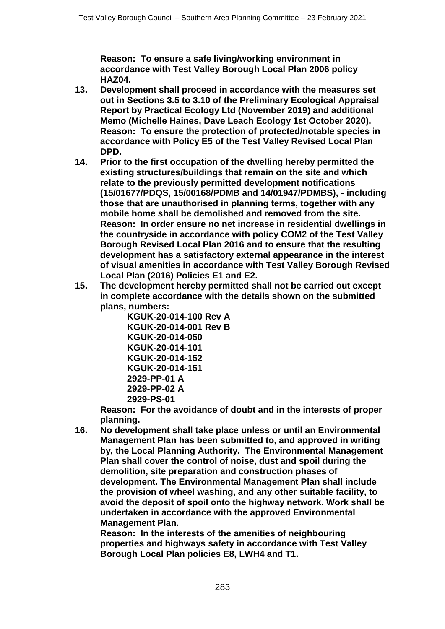**Reason: To ensure a safe living/working environment in accordance with Test Valley Borough Local Plan 2006 policy HAZ04.**

- **13. Development shall proceed in accordance with the measures set out in Sections 3.5 to 3.10 of the Preliminary Ecological Appraisal Report by Practical Ecology Ltd (November 2019) and additional Memo (Michelle Haines, Dave Leach Ecology 1st October 2020). Reason: To ensure the protection of protected/notable species in accordance with Policy E5 of the Test Valley Revised Local Plan DPD.**
- **14. Prior to the first occupation of the dwelling hereby permitted the existing structures/buildings that remain on the site and which relate to the previously permitted development notifications (15/01677/PDQS, 15/00168/PDMB and 14/01947/PDMBS), - including those that are unauthorised in planning terms, together with any mobile home shall be demolished and removed from the site. Reason: In order ensure no net increase in residential dwellings in the countryside in accordance with policy COM2 of the Test Valley Borough Revised Local Plan 2016 and to ensure that the resulting development has a satisfactory external appearance in the interest of visual amenities in accordance with Test Valley Borough Revised Local Plan (2016) Policies E1 and E2.**
- **15. The development hereby permitted shall not be carried out except in complete accordance with the details shown on the submitted plans, numbers:**

**KGUK-20-014-100 Rev A KGUK-20-014-001 Rev B KGUK-20-014-050 KGUK-20-014-101 KGUK-20-014-152 KGUK-20-014-151 2929-PP-01 A 2929-PP-02 A 2929-PS-01** 

**Reason: For the avoidance of doubt and in the interests of proper planning.** 

**16. No development shall take place unless or until an Environmental Management Plan has been submitted to, and approved in writing by, the Local Planning Authority. The Environmental Management Plan shall cover the control of noise, dust and spoil during the demolition, site preparation and construction phases of development. The Environmental Management Plan shall include the provision of wheel washing, and any other suitable facility, to avoid the deposit of spoil onto the highway network. Work shall be undertaken in accordance with the approved Environmental Management Plan.** 

**Reason: In the interests of the amenities of neighbouring properties and highways safety in accordance with Test Valley Borough Local Plan policies E8, LWH4 and T1.**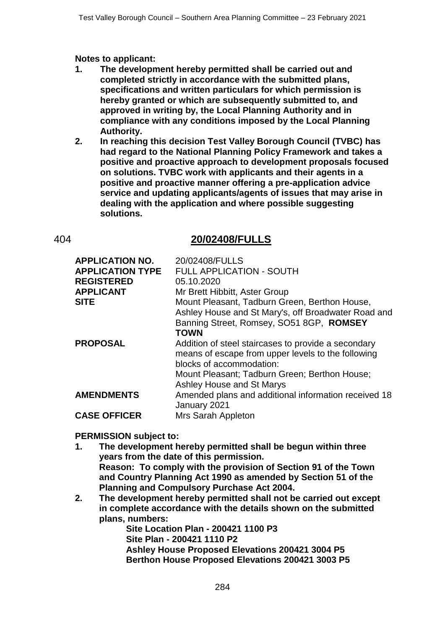**Notes to applicant:**

- **1. The development hereby permitted shall be carried out and completed strictly in accordance with the submitted plans, specifications and written particulars for which permission is hereby granted or which are subsequently submitted to, and approved in writing by, the Local Planning Authority and in compliance with any conditions imposed by the Local Planning Authority.**
- **2. In reaching this decision Test Valley Borough Council (TVBC) has had regard to the National Planning Policy Framework and takes a positive and proactive approach to development proposals focused on solutions. TVBC work with applicants and their agents in a positive and proactive manner offering a pre-application advice service and updating applicants/agents of issues that may arise in dealing with the application and where possible suggesting solutions.**

## 404 **20/02408/FULLS**

| <b>APPLICATION NO.</b><br><b>APPLICATION TYPE</b><br><b>REGISTERED</b><br><b>APPLICANT</b><br><b>SITE</b> | 20/02408/FULLS<br><b>FULL APPLICATION - SOUTH</b><br>05.10.2020<br>Mr Brett Hibbitt, Aster Group<br>Mount Pleasant, Tadburn Green, Berthon House,<br>Ashley House and St Mary's, off Broadwater Road and<br>Banning Street, Romsey, SO51 8GP, ROMSEY<br><b>TOWN</b> |
|-----------------------------------------------------------------------------------------------------------|---------------------------------------------------------------------------------------------------------------------------------------------------------------------------------------------------------------------------------------------------------------------|
| <b>PROPOSAL</b>                                                                                           | Addition of steel staircases to provide a secondary<br>means of escape from upper levels to the following<br>blocks of accommodation:<br>Mount Pleasant; Tadburn Green; Berthon House;<br>Ashley House and St Marys                                                 |
| <b>AMENDMENTS</b>                                                                                         | Amended plans and additional information received 18<br>January 2021                                                                                                                                                                                                |
| <b>CASE OFFICER</b>                                                                                       | Mrs Sarah Appleton                                                                                                                                                                                                                                                  |

### **PERMISSION subject to:**

- **1. The development hereby permitted shall be begun within three years from the date of this permission. Reason: To comply with the provision of Section 91 of the Town and Country Planning Act 1990 as amended by Section 51 of the Planning and Compulsory Purchase Act 2004.**
- **2. The development hereby permitted shall not be carried out except in complete accordance with the details shown on the submitted plans, numbers:**

**Site Location Plan - 200421 1100 P3 Site Plan - 200421 1110 P2 Ashley House Proposed Elevations 200421 3004 P5 Berthon House Proposed Elevations 200421 3003 P5**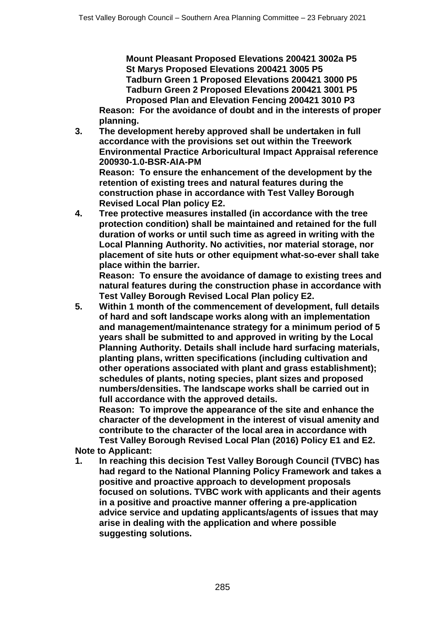**Mount Pleasant Proposed Elevations 200421 3002a P5 St Marys Proposed Elevations 200421 3005 P5 Tadburn Green 1 Proposed Elevations 200421 3000 P5 Tadburn Green 2 Proposed Elevations 200421 3001 P5 Proposed Plan and Elevation Fencing 200421 3010 P3**

**Reason: For the avoidance of doubt and in the interests of proper planning.**

**3. The development hereby approved shall be undertaken in full accordance with the provisions set out within the Treework Environmental Practice Arboricultural Impact Appraisal reference 200930-1.0-BSR-AIA-PM Reason: To ensure the enhancement of the development by the** 

**retention of existing trees and natural features during the construction phase in accordance with Test Valley Borough Revised Local Plan policy E2.**

**4. Tree protective measures installed (in accordance with the tree protection condition) shall be maintained and retained for the full duration of works or until such time as agreed in writing with the Local Planning Authority. No activities, nor material storage, nor placement of site huts or other equipment what-so-ever shall take place within the barrier.**

**Reason: To ensure the avoidance of damage to existing trees and natural features during the construction phase in accordance with Test Valley Borough Revised Local Plan policy E2.**

**5. Within 1 month of the commencement of development, full details of hard and soft landscape works along with an implementation and management/maintenance strategy for a minimum period of 5 years shall be submitted to and approved in writing by the Local Planning Authority. Details shall include hard surfacing materials, planting plans, written specifications (including cultivation and other operations associated with plant and grass establishment); schedules of plants, noting species, plant sizes and proposed numbers/densities. The landscape works shall be carried out in full accordance with the approved details.**

**Reason: To improve the appearance of the site and enhance the character of the development in the interest of visual amenity and contribute to the character of the local area in accordance with Test Valley Borough Revised Local Plan (2016) Policy E1 and E2.**

**Note to Applicant:**

**1. In reaching this decision Test Valley Borough Council (TVBC) has had regard to the National Planning Policy Framework and takes a positive and proactive approach to development proposals focused on solutions. TVBC work with applicants and their agents in a positive and proactive manner offering a pre-application advice service and updating applicants/agents of issues that may arise in dealing with the application and where possible suggesting solutions.**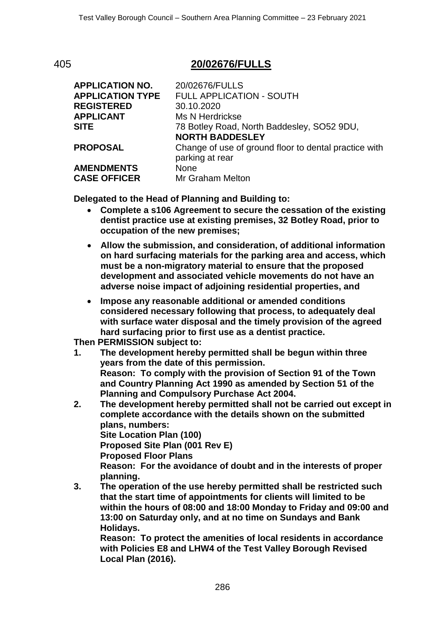## 405 **20/02676/FULLS**

| <b>APPLICATION NO.</b><br><b>APPLICATION TYPE</b> | 20/02676/FULLS<br><b>FULL APPLICATION - SOUTH</b>                        |
|---------------------------------------------------|--------------------------------------------------------------------------|
| <b>REGISTERED</b>                                 | 30.10.2020                                                               |
| <b>APPLICANT</b>                                  | Ms N Herdrickse                                                          |
| <b>SITE</b>                                       | 78 Botley Road, North Baddesley, SO52 9DU,                               |
|                                                   | <b>NORTH BADDESLEY</b>                                                   |
| <b>PROPOSAL</b>                                   | Change of use of ground floor to dental practice with<br>parking at rear |
| <b>AMENDMENTS</b>                                 | <b>None</b>                                                              |
| <b>CASE OFFICER</b>                               | Mr Graham Melton                                                         |
|                                                   |                                                                          |

**Delegated to the Head of Planning and Building to:**

- **Complete a s106 Agreement to secure the cessation of the existing dentist practice use at existing premises, 32 Botley Road, prior to occupation of the new premises;**
- **Allow the submission, and consideration, of additional information on hard surfacing materials for the parking area and access, which must be a non-migratory material to ensure that the proposed development and associated vehicle movements do not have an adverse noise impact of adjoining residential properties, and**
- **Impose any reasonable additional or amended conditions considered necessary following that process, to adequately deal with surface water disposal and the timely provision of the agreed hard surfacing prior to first use as a dentist practice.**

**Then PERMISSION subject to:**

- **1. The development hereby permitted shall be begun within three years from the date of this permission. Reason: To comply with the provision of Section 91 of the Town and Country Planning Act 1990 as amended by Section 51 of the Planning and Compulsory Purchase Act 2004.**
- **2. The development hereby permitted shall not be carried out except in complete accordance with the details shown on the submitted plans, numbers: Site Location Plan (100) Proposed Site Plan (001 Rev E) Proposed Floor Plans Reason: For the avoidance of doubt and in the interests of proper**

**planning.**

**3. The operation of the use hereby permitted shall be restricted such that the start time of appointments for clients will limited to be within the hours of 08:00 and 18:00 Monday to Friday and 09:00 and 13:00 on Saturday only, and at no time on Sundays and Bank Holidays.**

**Reason: To protect the amenities of local residents in accordance with Policies E8 and LHW4 of the Test Valley Borough Revised Local Plan (2016).**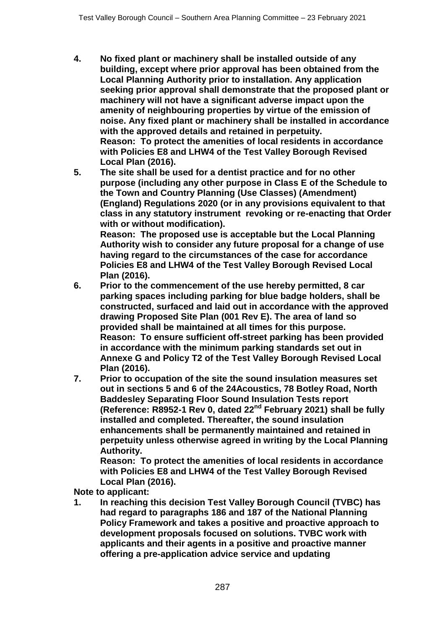- **4. No fixed plant or machinery shall be installed outside of any building, except where prior approval has been obtained from the Local Planning Authority prior to installation. Any application seeking prior approval shall demonstrate that the proposed plant or machinery will not have a significant adverse impact upon the amenity of neighbouring properties by virtue of the emission of noise. Any fixed plant or machinery shall be installed in accordance with the approved details and retained in perpetuity. Reason: To protect the amenities of local residents in accordance with Policies E8 and LHW4 of the Test Valley Borough Revised Local Plan (2016).**
- **5. The site shall be used for a dentist practice and for no other purpose (including any other purpose in Class E of the Schedule to the Town and Country Planning (Use Classes) (Amendment) (England) Regulations 2020 (or in any provisions equivalent to that class in any statutory instrument revoking or re-enacting that Order with or without modification).**

**Reason: The proposed use is acceptable but the Local Planning Authority wish to consider any future proposal for a change of use having regard to the circumstances of the case for accordance Policies E8 and LHW4 of the Test Valley Borough Revised Local Plan (2016).**

- **6. Prior to the commencement of the use hereby permitted, 8 car parking spaces including parking for blue badge holders, shall be constructed, surfaced and laid out in accordance with the approved drawing Proposed Site Plan (001 Rev E). The area of land so provided shall be maintained at all times for this purpose. Reason: To ensure sufficient off-street parking has been provided in accordance with the minimum parking standards set out in Annexe G and Policy T2 of the Test Valley Borough Revised Local Plan (2016).**
- **7. Prior to occupation of the site the sound insulation measures set out in sections 5 and 6 of the 24Acoustics, 78 Botley Road, North Baddesley Separating Floor Sound Insulation Tests report (Reference: R8952-1 Rev 0, dated 22nd February 2021) shall be fully installed and completed. Thereafter, the sound insulation enhancements shall be permanently maintained and retained in perpetuity unless otherwise agreed in writing by the Local Planning Authority.**

**Reason: To protect the amenities of local residents in accordance with Policies E8 and LHW4 of the Test Valley Borough Revised Local Plan (2016).**

**Note to applicant:**

**1. In reaching this decision Test Valley Borough Council (TVBC) has had regard to paragraphs 186 and 187 of the National Planning Policy Framework and takes a positive and proactive approach to development proposals focused on solutions. TVBC work with applicants and their agents in a positive and proactive manner offering a pre-application advice service and updating**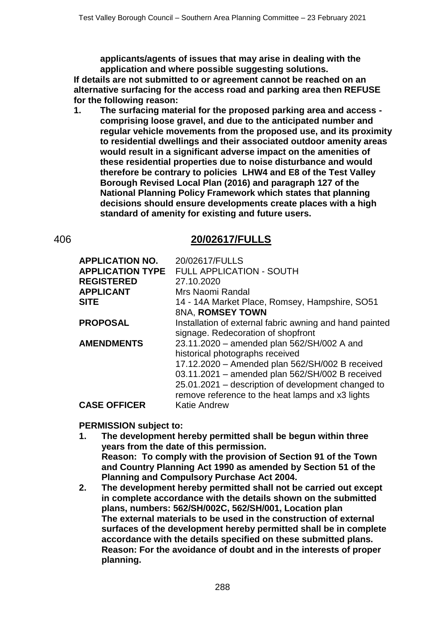**applicants/agents of issues that may arise in dealing with the application and where possible suggesting solutions.**

**If details are not submitted to or agreement cannot be reached on an alternative surfacing for the access road and parking area then REFUSE for the following reason:**

**1. The surfacing material for the proposed parking area and access comprising loose gravel, and due to the anticipated number and regular vehicle movements from the proposed use, and its proximity to residential dwellings and their associated outdoor amenity areas would result in a significant adverse impact on the amenities of these residential properties due to noise disturbance and would therefore be contrary to policies LHW4 and E8 of the Test Valley Borough Revised Local Plan (2016) and paragraph 127 of the National Planning Policy Framework which states that planning decisions should ensure developments create places with a high standard of amenity for existing and future users.**

## 406 **20/02617/FULLS**

| <b>APPLICATION NO.</b><br><b>APPLICATION TYPE</b><br><b>REGISTERED</b><br><b>APPLICANT</b><br><b>SITE</b> | 20/02617/FULLS<br><b>FULL APPLICATION - SOUTH</b><br>27.10.2020<br>Mrs Naomi Randal<br>14 - 14A Market Place, Romsey, Hampshire, SO51                                                                                                                                                         |
|-----------------------------------------------------------------------------------------------------------|-----------------------------------------------------------------------------------------------------------------------------------------------------------------------------------------------------------------------------------------------------------------------------------------------|
| <b>PROPOSAL</b>                                                                                           | 8NA, ROMSEY TOWN<br>Installation of external fabric awning and hand painted<br>signage. Redecoration of shopfront                                                                                                                                                                             |
| <b>AMENDMENTS</b>                                                                                         | 23.11.2020 - amended plan 562/SH/002 A and<br>historical photographs received<br>17.12.2020 - Amended plan 562/SH/002 B received<br>03.11.2021 - amended plan 562/SH/002 B received<br>25.01.2021 – description of development changed to<br>remove reference to the heat lamps and x3 lights |
| <b>CASE OFFICER</b>                                                                                       | <b>Katie Andrew</b>                                                                                                                                                                                                                                                                           |

### **PERMISSION subject to:**

- **1. The development hereby permitted shall be begun within three years from the date of this permission. Reason: To comply with the provision of Section 91 of the Town and Country Planning Act 1990 as amended by Section 51 of the Planning and Compulsory Purchase Act 2004.**
- **2. The development hereby permitted shall not be carried out except in complete accordance with the details shown on the submitted plans, numbers: 562/SH/002C, 562/SH/001, Location plan The external materials to be used in the construction of external surfaces of the development hereby permitted shall be in complete accordance with the details specified on these submitted plans. Reason: For the avoidance of doubt and in the interests of proper planning.**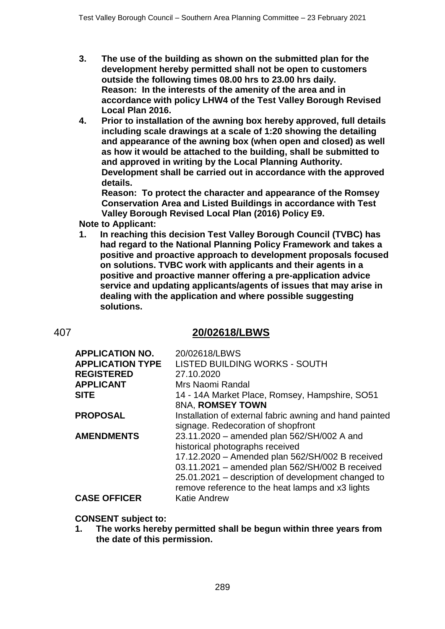- **3. The use of the building as shown on the submitted plan for the development hereby permitted shall not be open to customers outside the following times 08.00 hrs to 23.00 hrs daily. Reason: In the interests of the amenity of the area and in accordance with policy LHW4 of the Test Valley Borough Revised Local Plan 2016.**
- **4. Prior to installation of the awning box hereby approved, full details including scale drawings at a scale of 1:20 showing the detailing and appearance of the awning box (when open and closed) as well as how it would be attached to the building, shall be submitted to and approved in writing by the Local Planning Authority. Development shall be carried out in accordance with the approved details.**

**Reason: To protect the character and appearance of the Romsey Conservation Area and Listed Buildings in accordance with Test Valley Borough Revised Local Plan (2016) Policy E9.**

**Note to Applicant:**

**1. In reaching this decision Test Valley Borough Council (TVBC) has had regard to the National Planning Policy Framework and takes a positive and proactive approach to development proposals focused on solutions. TVBC work with applicants and their agents in a positive and proactive manner offering a pre-application advice service and updating applicants/agents of issues that may arise in dealing with the application and where possible suggesting solutions.**

## 407 **20/02618/LBWS**

| <b>APPLICATION NO.</b>  | 20/02618/LBWS                                           |
|-------------------------|---------------------------------------------------------|
| <b>APPLICATION TYPE</b> | <b>LISTED BUILDING WORKS - SOUTH</b>                    |
| <b>REGISTERED</b>       | 27.10.2020                                              |
| <b>APPLICANT</b>        | Mrs Naomi Randal                                        |
| <b>SITE</b>             | 14 - 14A Market Place, Romsey, Hampshire, SO51          |
|                         | 8NA, ROMSEY TOWN                                        |
| <b>PROPOSAL</b>         | Installation of external fabric awning and hand painted |
|                         | signage. Redecoration of shopfront                      |
| <b>AMENDMENTS</b>       | 23.11.2020 - amended plan 562/SH/002 A and              |
|                         | historical photographs received                         |
|                         | 17.12.2020 - Amended plan 562/SH/002 B received         |
|                         | 03.11.2021 - amended plan 562/SH/002 B received         |
|                         | 25.01.2021 – description of development changed to      |
|                         | remove reference to the heat lamps and x3 lights        |
| <b>CASE OFFICER</b>     | <b>Katie Andrew</b>                                     |
|                         |                                                         |

**CONSENT subject to:**

**1. The works hereby permitted shall be begun within three years from the date of this permission.**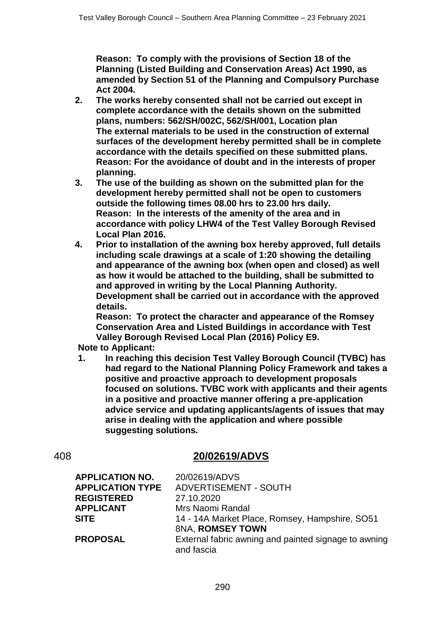**Reason: To comply with the provisions of Section 18 of the Planning (Listed Building and Conservation Areas) Act 1990, as amended by Section 51 of the Planning and Compulsory Purchase Act 2004.**

- **2. The works hereby consented shall not be carried out except in complete accordance with the details shown on the submitted plans, numbers: 562/SH/002C, 562/SH/001, Location plan The external materials to be used in the construction of external surfaces of the development hereby permitted shall be in complete accordance with the details specified on these submitted plans. Reason: For the avoidance of doubt and in the interests of proper planning.**
- **3. The use of the building as shown on the submitted plan for the development hereby permitted shall not be open to customers outside the following times 08.00 hrs to 23.00 hrs daily. Reason: In the interests of the amenity of the area and in accordance with policy LHW4 of the Test Valley Borough Revised Local Plan 2016.**
- **4. Prior to installation of the awning box hereby approved, full details including scale drawings at a scale of 1:20 showing the detailing and appearance of the awning box (when open and closed) as well as how it would be attached to the building, shall be submitted to and approved in writing by the Local Planning Authority. Development shall be carried out in accordance with the approved details.**

**Reason: To protect the character and appearance of the Romsey Conservation Area and Listed Buildings in accordance with Test Valley Borough Revised Local Plan (2016) Policy E9.**

**Note to Applicant:**

**1. In reaching this decision Test Valley Borough Council (TVBC) has had regard to the National Planning Policy Framework and takes a positive and proactive approach to development proposals focused on solutions. TVBC work with applicants and their agents in a positive and proactive manner offering a pre-application advice service and updating applicants/agents of issues that may arise in dealing with the application and where possible suggesting solutions.**

# 408 **20/02619/ADVS**

| 20/02619/ADVS                                        |
|------------------------------------------------------|
| <b>ADVERTISEMENT - SOUTH</b>                         |
| 27.10.2020                                           |
| Mrs Naomi Randal                                     |
| 14 - 14A Market Place, Romsey, Hampshire, SO51       |
| 8NA, ROMSEY TOWN                                     |
| External fabric awning and painted signage to awning |
| and fascia                                           |
|                                                      |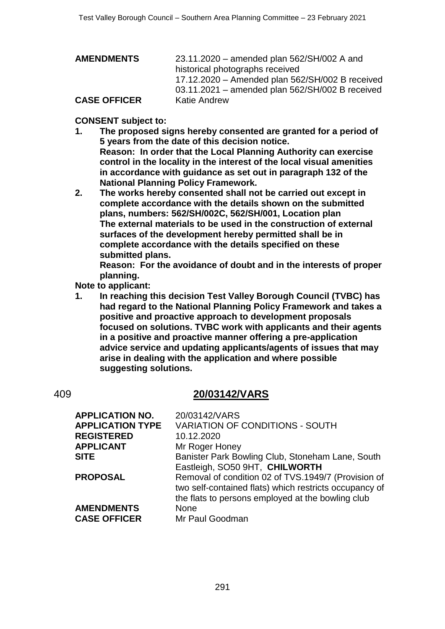| <b>AMENDMENTS</b>   | 23.11.2020 – amended plan 562/SH/002 A and      |
|---------------------|-------------------------------------------------|
|                     | historical photographs received                 |
|                     | 17.12.2020 - Amended plan 562/SH/002 B received |
|                     | 03.11.2021 - amended plan 562/SH/002 B received |
| <b>CASE OFFICER</b> | Katie Andrew                                    |

### **CONSENT subject to:**

- **1. The proposed signs hereby consented are granted for a period of 5 years from the date of this decision notice. Reason: In order that the Local Planning Authority can exercise control in the locality in the interest of the local visual amenities in accordance with guidance as set out in paragraph 132 of the National Planning Policy Framework.**
- **2. The works hereby consented shall not be carried out except in complete accordance with the details shown on the submitted plans, numbers: 562/SH/002C, 562/SH/001, Location plan The external materials to be used in the construction of external surfaces of the development hereby permitted shall be in complete accordance with the details specified on these submitted plans.**

**Reason: For the avoidance of doubt and in the interests of proper planning.**

**Note to applicant:**

**1. In reaching this decision Test Valley Borough Council (TVBC) has had regard to the National Planning Policy Framework and takes a positive and proactive approach to development proposals focused on solutions. TVBC work with applicants and their agents in a positive and proactive manner offering a pre-application advice service and updating applicants/agents of issues that may arise in dealing with the application and where possible suggesting solutions.**

## 409 **20/03142/VARS**

| <b>APPLICATION NO.</b>  | 20/03142/VARS                                                                                               |
|-------------------------|-------------------------------------------------------------------------------------------------------------|
| <b>APPLICATION TYPE</b> | <b>VARIATION OF CONDITIONS - SOUTH</b>                                                                      |
| <b>REGISTERED</b>       | 10.12.2020                                                                                                  |
| <b>APPLICANT</b>        | Mr Roger Honey                                                                                              |
| <b>SITE</b>             | Banister Park Bowling Club, Stoneham Lane, South<br>Eastleigh, SO50 9HT, CHILWORTH                          |
| <b>PROPOSAL</b>         | Removal of condition 02 of TVS.1949/7 (Provision of                                                         |
|                         | two self-contained flats) which restricts occupancy of<br>the flats to persons employed at the bowling club |
| <b>AMENDMENTS</b>       | <b>None</b>                                                                                                 |
| <b>CASE OFFICER</b>     | Mr Paul Goodman                                                                                             |